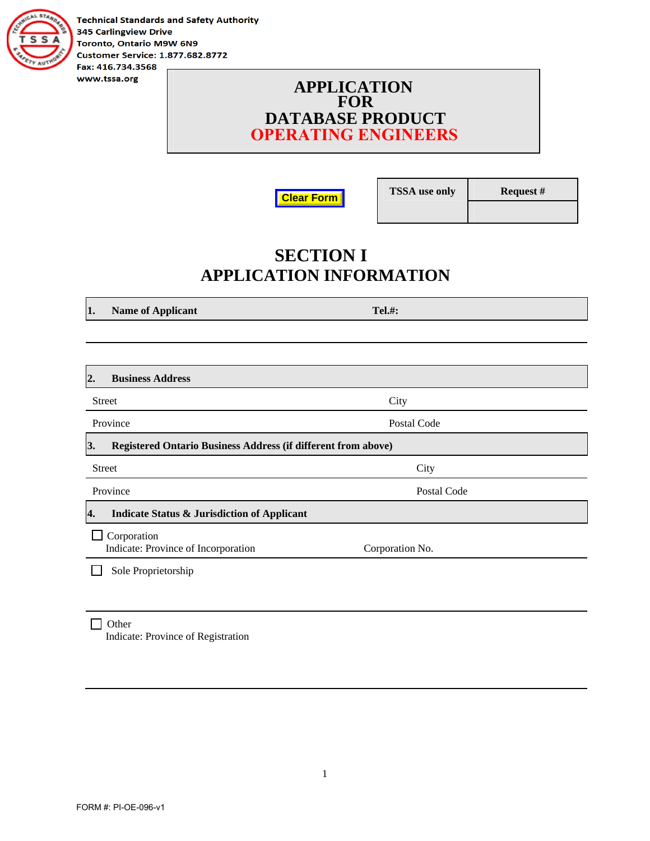

**Technical Standards and Safety Authority 345 Carlingview Drive** Toronto, Ontario M9W 6N9 **Customer Service: 1.877.682.8772** Fax: 416.734.3568

#### **APPLICATION FOR DATABASE PRODUCT OPERATING ENGINEERS**

**Clear Form**

**TSSA use only Request #** 

# **SECTION I APPLICATION INFORMATION**

**1.** Name of Applicant Tel.#:

| <b>Business Address</b><br>2.                                       |                 |  |
|---------------------------------------------------------------------|-----------------|--|
| <b>Street</b>                                                       | City            |  |
| Province                                                            | Postal Code     |  |
| 3.<br>Registered Ontario Business Address (if different from above) |                 |  |
| <b>Street</b>                                                       | City            |  |
| Province                                                            | Postal Code     |  |
| <b>Indicate Status &amp; Jurisdiction of Applicant</b><br>4.        |                 |  |
| Corporation<br>Indicate: Province of Incorporation                  | Corporation No. |  |
| Sole Proprietorship                                                 |                 |  |
|                                                                     |                 |  |

#### $\Box$  Other Indicate: Province of Registration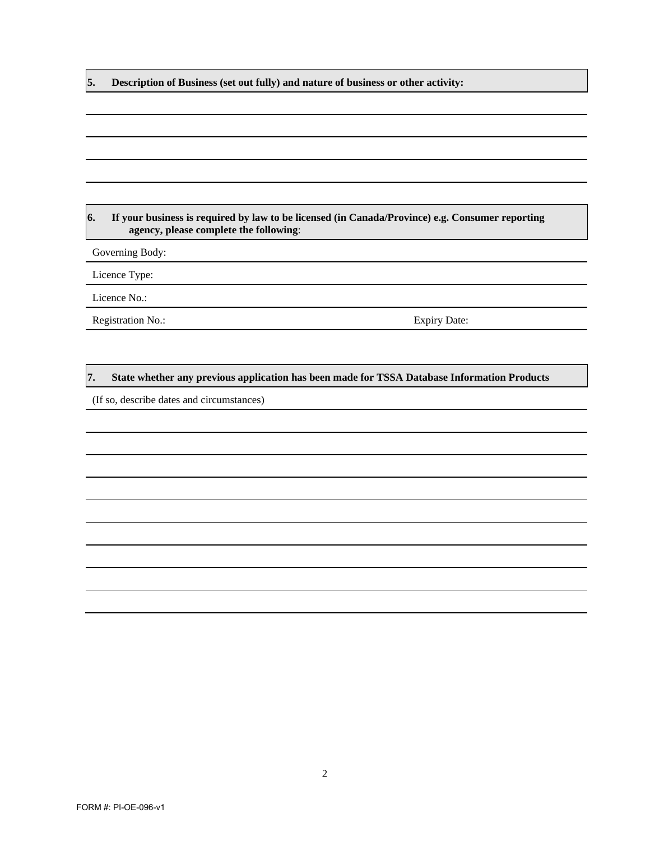**5. Description of Business (set out fully) and nature of business or other activity:** 

#### **6. If your business is required by law to be licensed (in Canada/Province) e.g. Consumer reporting agency, please complete the following**:

Governing Body:

Licence Type:

Licence No.:

Registration No.: Expiry Date:

#### **7. State whether any previous application has been made for TSSA Database Information Products**

(If so, describe dates and circumstances)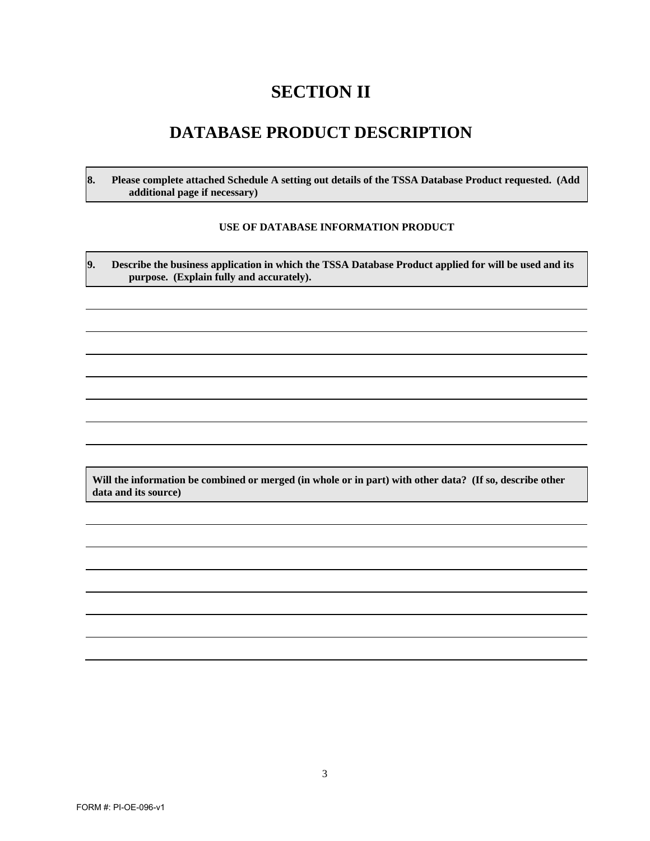# **SECTION II**

### **DATABASE PRODUCT DESCRIPTION**

**8. Please complete attached Schedule A setting out details of the TSSA Database Product requested. (Add additional page if necessary)** 

#### **USE OF DATABASE INFORMATION PRODUCT**

**9. Describe the business application in which the TSSA Database Product applied for will be used and its purpose. (Explain fully and accurately).** 

**Will the information be combined or merged (in whole or in part) with other data? (If so, describe other data and its source)**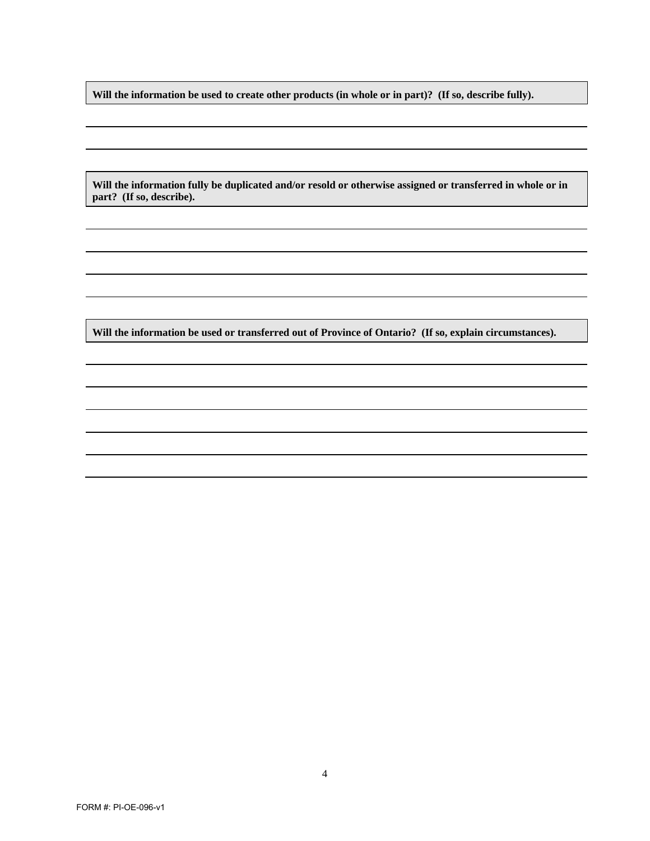**Will the information be used to create other products (in whole or in part)? (If so, describe fully).** 

**Will the information fully be duplicated and/or resold or otherwise assigned or transferred in whole or in part? (If so, describe).** 

**Will the information be used or transferred out of Province of Ontario? (If so, explain circumstances).**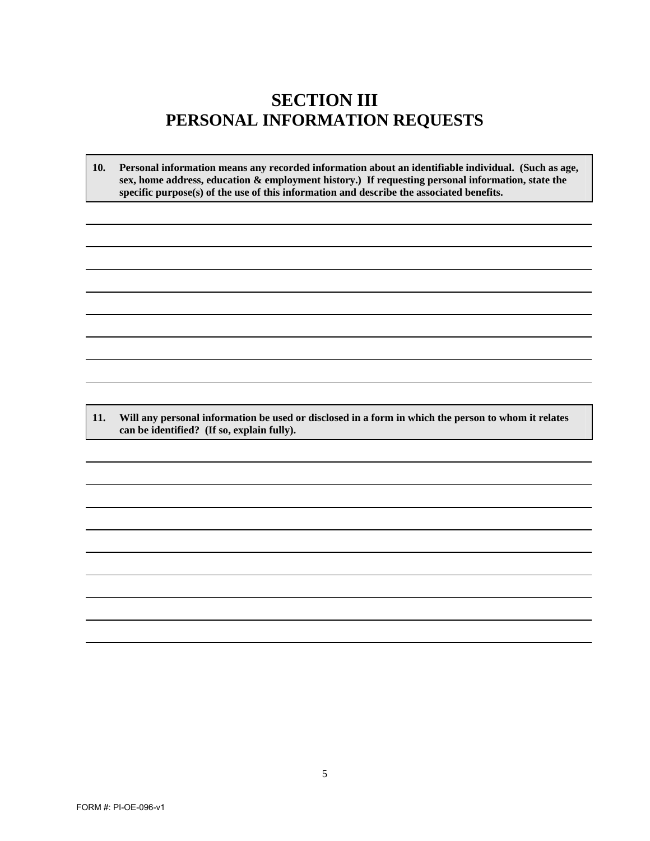### **SECTION III PERSONAL INFORMATION REQUESTS**

**10. Personal information means any recorded information about an identifiable individual. (Such as age, sex, home address, education & employment history.) If requesting personal information, state the specific purpose(s) of the use of this information and describe the associated benefits.**

**11. Will any personal information be used or disclosed in a form in which the person to whom it relates can be identified? (If so, explain fully).**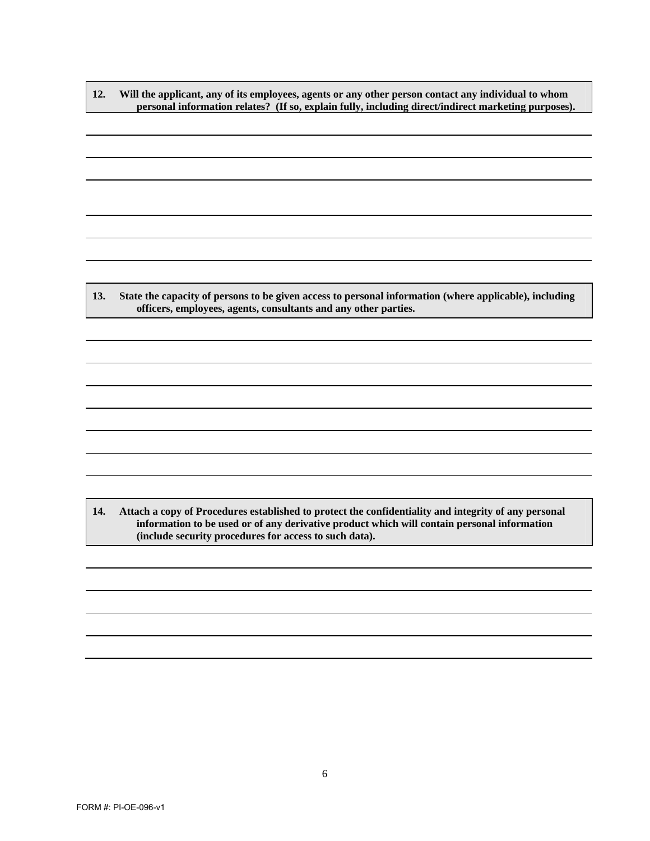**12. Will the applicant, any of its employees, agents or any other person contact any individual to whom personal information relates? (If so, explain fully, including direct/indirect marketing purposes).** 

**13. State the capacity of persons to be given access to personal information (where applicable), including officers, employees, agents, consultants and any other parties.** 

**14. Attach a copy of Procedures established to protect the confidentiality and integrity of any personal information to be used or of any derivative product which will contain personal information (include security procedures for access to such data).**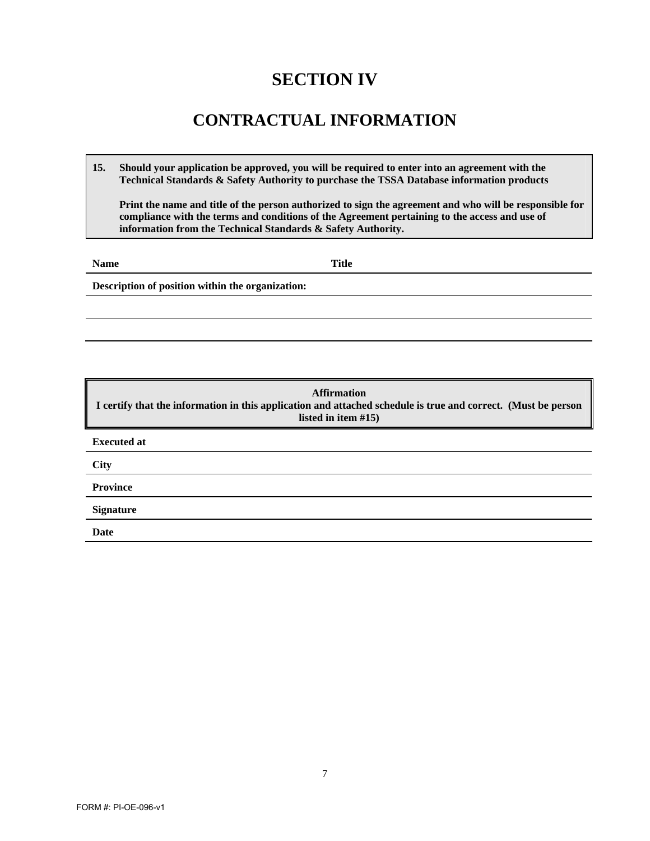# **SECTION IV**

### **CONTRACTUAL INFORMATION**

**15. Should your application be approved, you will be required to enter into an agreement with the Technical Standards & Safety Authority to purchase the TSSA Database information products**

**Print the name and title of the person authorized to sign the agreement and who will be responsible for compliance with the terms and conditions of the Agreement pertaining to the access and use of information from the Technical Standards & Safety Authority.**

**Name** Title

**Description of position within the organization:** 

**Affirmation I certify that the information in this application and attached schedule is true and correct. (Must be person listed in item #15) Executed at City Province Signature Date**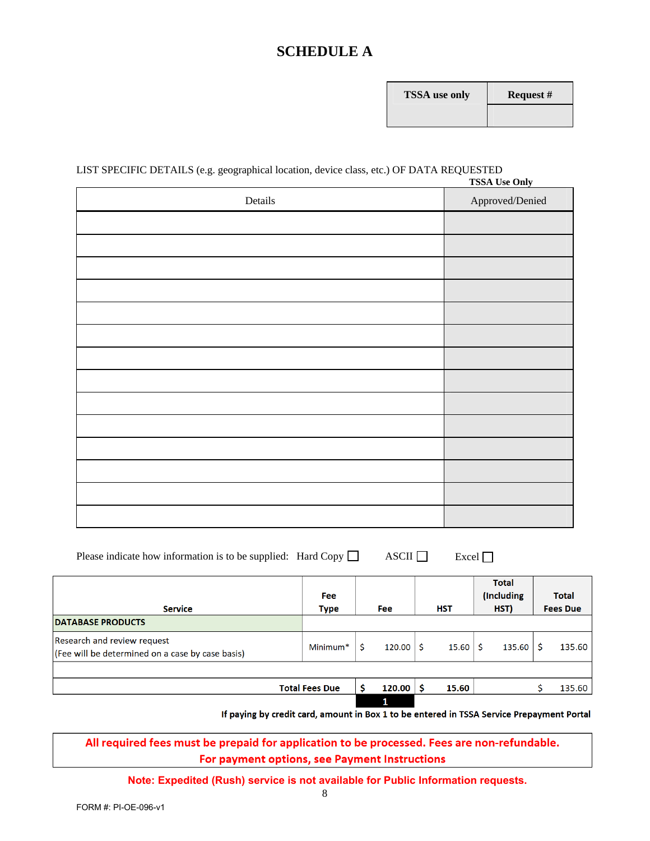### **SCHEDULE A**

| <b>FSSA</b> use only | R٤ |
|----------------------|----|
|                      |    |

#### LIST SPECIFIC DETAILS (e.g. geographical location, device class, etc.) OF DATA REQUESTED **TSSA Use Only**

| Details | <b>155A USE OIIIY</b><br>Approved/Denied |
|---------|------------------------------------------|
|         |                                          |
|         |                                          |
|         |                                          |
|         |                                          |
|         |                                          |
|         |                                          |
|         |                                          |
|         |                                          |
|         |                                          |
|         |                                          |
|         |                                          |
|         |                                          |
|         |                                          |
|         |                                          |

| Please indicate how information is to be supplied: Hard Copy $\Box$ |  | ASCII $\square$ | $\lbrack$ Excel $\lbrack$ |
|---------------------------------------------------------------------|--|-----------------|---------------------------|
|---------------------------------------------------------------------|--|-----------------|---------------------------|

| <b>Service</b>                                                                  | <b>Fee</b><br><b>Type</b> | <b>Fee</b> | <b>HST</b> | <b>Total</b><br>(Including<br>HST) | <b>Total</b><br><b>Fees Due</b> |
|---------------------------------------------------------------------------------|---------------------------|------------|------------|------------------------------------|---------------------------------|
| <b>DATABASE PRODUCTS</b>                                                        |                           |            |            |                                    |                                 |
| Research and review request<br>(Fee will be determined on a case by case basis) | Minimum <sup>*</sup>      | 120.00     | 15.60      | 135.60                             | 135.60                          |
|                                                                                 |                           |            |            |                                    |                                 |
|                                                                                 | <b>Total Fees Due</b>     | 120.00     | 15.60      |                                    | 135.60                          |
|                                                                                 |                           | 1          |            |                                    |                                 |

If paying by credit card, amount in Box 1 to be entered in TSSA Service Prepayment Portal

All required fees must be prepaid for application to be processed. Fees are non-refundable. For payment options, see Payment Instructions

**Note: Expedited (Rush) service is not available for Public Information requests.**